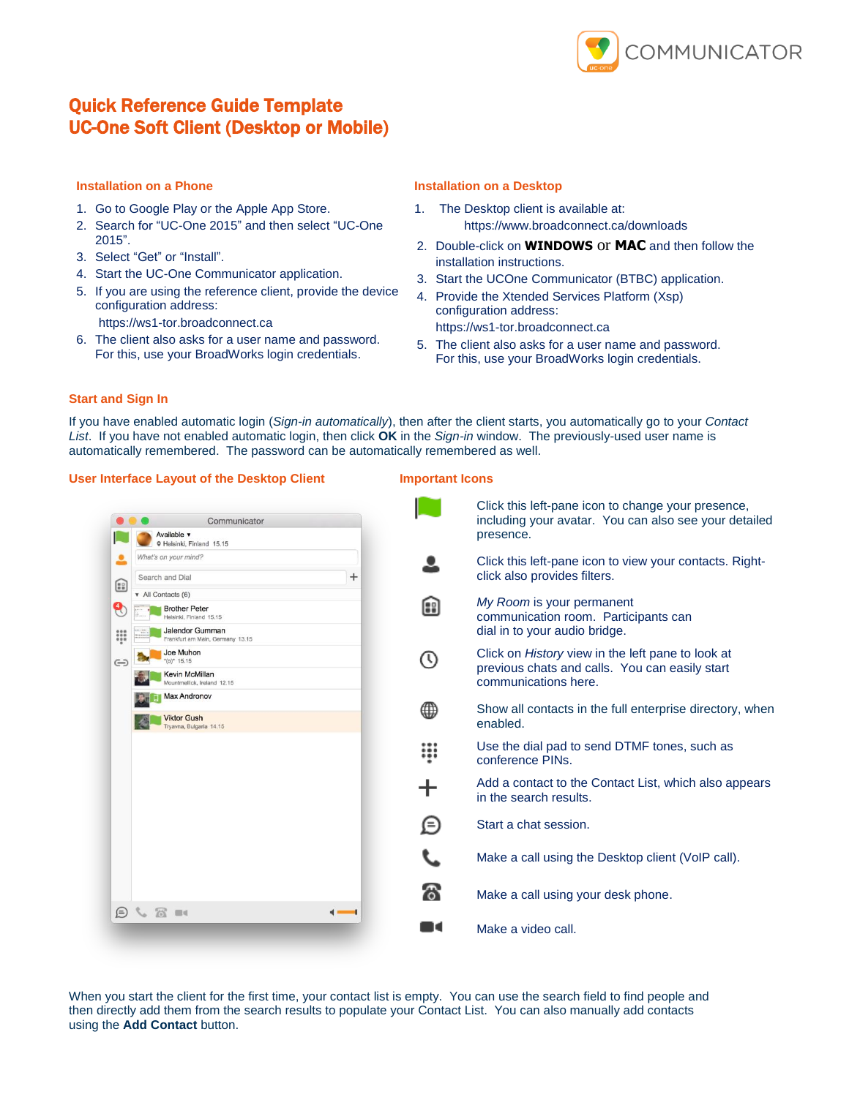

# Quick Reference Guide Template UC-One Soft Client (Desktop or Mobile)

#### **Installation on a Phone**

- 1. Go to Google Play or the Apple App Store.
- 2. Search for "UC-One 2015" and then select "UC-One 2015".
- 3. Select "Get" or "Install".
- 4. Start the UC-One Communicator application.
- 5. If you are using the reference client, provide the device configuration address:
	- https://ws1-tor.broadconnect.ca
- 6. The client also asks for a user name and password. For this, use your BroadWorks login credentials.

### **Installation on a Desktop**

- 1. The Desktop client is available at: https://www.broadconnect.ca/downloads
- 2. Double-click on **WINDOWS** or **MAC** and then follow the installation instructions.
- 3. Start the UCOne Communicator (BTBC) application.
- 4. Provide the Xtended Services Platform (Xsp) configuration address: https://ws1-tor.broadconnect.ca
- 5. The client also asks for a user name and password. For this, use your BroadWorks login credentials.

### **Start and Sign In**

If you have enabled automatic login (*Sign-in automatically*), then after the client starts, you automatically go to your *Contact List*. If you have not enabled automatic login, then click **OK** in the *Sign-in* window. The previously-used user name is automatically remembered. The password can be automatically remembered as well.

### **User Interface Layout of the Desktop Client Important Icons**

|           | Communicator                                         |        |                         | C1<br>in          |
|-----------|------------------------------------------------------|--------|-------------------------|-------------------|
|           | Available v<br>9 Helsinki, Finland 15.15             |        |                         | pr                |
| ≗         | What's on your mind?                                 |        |                         | <b>CI</b>         |
| ⊞         | Search and Dial                                      | $^{+}$ |                         | cli               |
|           | v All Contacts (6)<br><b>Brother Peter</b>           |        | Θ                       | M                 |
| ဨ         | Helsinki, Finland 15.15                              |        |                         | $_{\rm co}$       |
| W         | Jalendor Gumman<br>Frankfurt am Main, Germany 13.15  |        |                         | dia               |
| $\ominus$ | Joe Muhon<br>$^*(o)^*$ 15.15                         |        | $\overline{\mathbb{O}}$ | C1                |
|           | <b>Kevin McMillan</b><br>Mountmellick, Ireland 12.15 |        |                         | pr<br>$_{\rm CO}$ |
|           | <b>Max Andronov</b>                                  |        |                         | Sł                |
|           | <b>Viktor Gush</b><br>Tryavna, Bulgaria 14.15        |        |                         | er                |
|           |                                                      |        |                         | Us                |
|           |                                                      |        |                         | $_{\rm co}$       |
|           |                                                      |        |                         | A                 |
|           |                                                      |        |                         | in.               |
|           |                                                      |        | Θ                       | <b>St</b>         |
|           |                                                      |        |                         |                   |
|           |                                                      |        |                         | M                 |
|           |                                                      |        | ත                       | M                 |
| ⊜         | $G \otimes R$                                        |        |                         |                   |
|           |                                                      |        | na                      | M                 |

ick this left-pane icon to change your presence, cluding your avatar. You can also see your detailed esence. ick this left-pane icon to view your contacts. Rightick also provides filters. *My Room* is your permanent mmunication room. Participants can al in to your audio bridge. ick on *History* view in the left pane to look at evious chats and calls. You can easily start communications here. now all contacts in the full enterprise directory, when abled. se the dial pad to send DTMF tones, such as onference PINs. dd a contact to the Contact List, which also appears the search results. art a chat session. ake a call using the Desktop client (VoIP call). ake a call using your desk phone. ake a video call.

When you start the client for the first time, your contact list is empty. You can use the search field to find people and then directly add them from the search results to populate your Contact List. You can also manually add contacts using the **Add Contact** button.